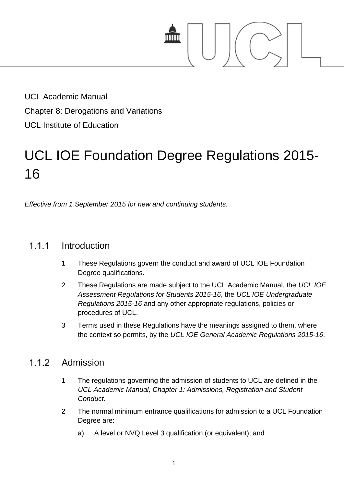

UCL Academic Manual Chapter 8: Derogations and Variations UCL Institute of Education

# UCL IOE Foundation Degree Regulations 2015- 16

*Effective from 1 September 2015 for new and continuing students.*

#### $1.1.1$ **Introduction**

- 1 These Regulations govern the conduct and award of UCL IOE Foundation Degree qualifications.
- 2 These Regulations are made subject to the UCL Academic Manual, the *UCL IOE Assessment Regulations for Students 2015-16*, the *UCL IOE Undergraduate Regulations 2015-16* and any other appropriate regulations, policies or procedures of UCL.
- 3 Terms used in these Regulations have the meanings assigned to them, where the context so permits, by the *UCL IOE General Academic Regulations 2015-16*.

#### $1.1.2$ Admission

- 1 The regulations governing the admission of students to UCL are defined in the *UCL Academic Manual, Chapter 1: Admissions, Registration and Student Conduct*.
- 2 The normal minimum entrance qualifications for admission to a UCL Foundation Degree are:
	- a) A level or NVQ Level 3 qualification (or equivalent); and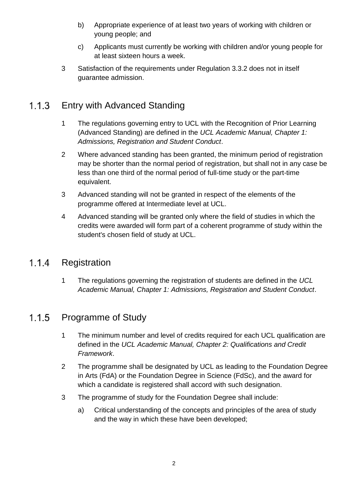- b) Appropriate experience of at least two years of working with children or young people; and
- c) Applicants must currently be working with children and/or young people for at least sixteen hours a week.
- 3 Satisfaction of the requirements under Regulation 3.3.2 does not in itself guarantee admission.

#### $1.1.3$ Entry with Advanced Standing

- 1 The regulations governing entry to UCL with the Recognition of Prior Learning (Advanced Standing) are defined in the *UCL Academic Manual, Chapter 1: Admissions, Registration and Student Conduct*.
- 2 Where advanced standing has been granted, the minimum period of registration may be shorter than the normal period of registration, but shall not in any case be less than one third of the normal period of full-time study or the part-time equivalent.
- 3 Advanced standing will not be granted in respect of the elements of the programme offered at Intermediate level at UCL.
- 4 Advanced standing will be granted only where the field of studies in which the credits were awarded will form part of a coherent programme of study within the student's chosen field of study at UCL.

#### $1.1.4$ Registration

1 The regulations governing the registration of students are defined in the *UCL Academic Manual, Chapter 1: Admissions, Registration and Student Conduct*.

#### $1.1.5$ Programme of Study

- 1 The minimum number and level of credits required for each UCL qualification are defined in the *UCL Academic Manual, Chapter 2: Qualifications and Credit Framework*.
- 2 The programme shall be designated by UCL as leading to the Foundation Degree in Arts (FdA) or the Foundation Degree in Science (FdSc), and the award for which a candidate is registered shall accord with such designation.
- 3 The programme of study for the Foundation Degree shall include:
	- a) Critical understanding of the concepts and principles of the area of study and the way in which these have been developed;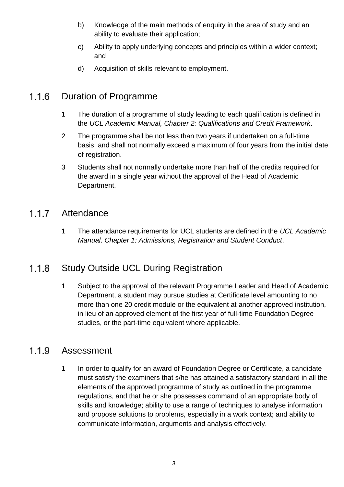- b) Knowledge of the main methods of enquiry in the area of study and an ability to evaluate their application;
- c) Ability to apply underlying concepts and principles within a wider context; and
- d) Acquisition of skills relevant to employment.

#### $1.1.6$ Duration of Programme

- 1 The duration of a programme of study leading to each qualification is defined in the *UCL Academic Manual, Chapter 2: Qualifications and Credit Framework*.
- 2 The programme shall be not less than two years if undertaken on a full-time basis, and shall not normally exceed a maximum of four years from the initial date of registration.
- 3 Students shall not normally undertake more than half of the credits required for the award in a single year without the approval of the Head of Academic Department.

#### $1.1.7$ Attendance

1 The attendance requirements for UCL students are defined in the *UCL Academic Manual, Chapter 1: Admissions, Registration and Student Conduct*.

#### $1.1.8$ Study Outside UCL During Registration

1 Subject to the approval of the relevant Programme Leader and Head of Academic Department, a student may pursue studies at Certificate level amounting to no more than one 20 credit module or the equivalent at another approved institution, in lieu of an approved element of the first year of full-time Foundation Degree studies, or the part-time equivalent where applicable.

#### $1.1.9$ Assessment

1 In order to qualify for an award of Foundation Degree or Certificate, a candidate must satisfy the examiners that s/he has attained a satisfactory standard in all the elements of the approved programme of study as outlined in the programme regulations, and that he or she possesses command of an appropriate body of skills and knowledge; ability to use a range of techniques to analyse information and propose solutions to problems, especially in a work context; and ability to communicate information, arguments and analysis effectively.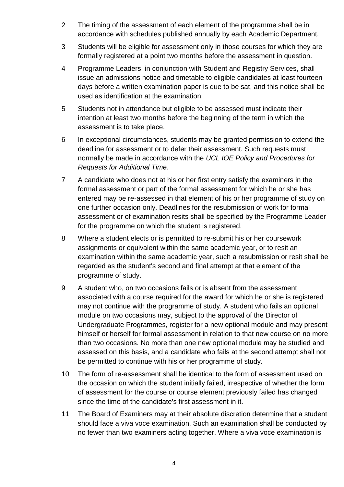- 2 The timing of the assessment of each element of the programme shall be in accordance with schedules published annually by each Academic Department.
- 3 Students will be eligible for assessment only in those courses for which they are formally registered at a point two months before the assessment in question.
- 4 Programme Leaders, in conjunction with Student and Registry Services, shall issue an admissions notice and timetable to eligible candidates at least fourteen days before a written examination paper is due to be sat, and this notice shall be used as identification at the examination.
- 5 Students not in attendance but eligible to be assessed must indicate their intention at least two months before the beginning of the term in which the assessment is to take place.
- 6 In exceptional circumstances, students may be granted permission to extend the deadline for assessment or to defer their assessment. Such requests must normally be made in accordance with the *UCL IOE Policy and Procedures for Requests for Additional Time*.
- 7 A candidate who does not at his or her first entry satisfy the examiners in the formal assessment or part of the formal assessment for which he or she has entered may be re-assessed in that element of his or her programme of study on one further occasion only. Deadlines for the resubmission of work for formal assessment or of examination resits shall be specified by the Programme Leader for the programme on which the student is registered.
- 8 Where a student elects or is permitted to re-submit his or her coursework assignments or equivalent within the same academic year, or to resit an examination within the same academic year, such a resubmission or resit shall be regarded as the student's second and final attempt at that element of the programme of study.
- 9 A student who, on two occasions fails or is absent from the assessment associated with a course required for the award for which he or she is registered may not continue with the programme of study. A student who fails an optional module on two occasions may, subject to the approval of the Director of Undergraduate Programmes, register for a new optional module and may present himself or herself for formal assessment in relation to that new course on no more than two occasions. No more than one new optional module may be studied and assessed on this basis, and a candidate who fails at the second attempt shall not be permitted to continue with his or her programme of study.
- 10 The form of re-assessment shall be identical to the form of assessment used on the occasion on which the student initially failed, irrespective of whether the form of assessment for the course or course element previously failed has changed since the time of the candidate's first assessment in it.
- 11 The Board of Examiners may at their absolute discretion determine that a student should face a viva voce examination. Such an examination shall be conducted by no fewer than two examiners acting together. Where a viva voce examination is